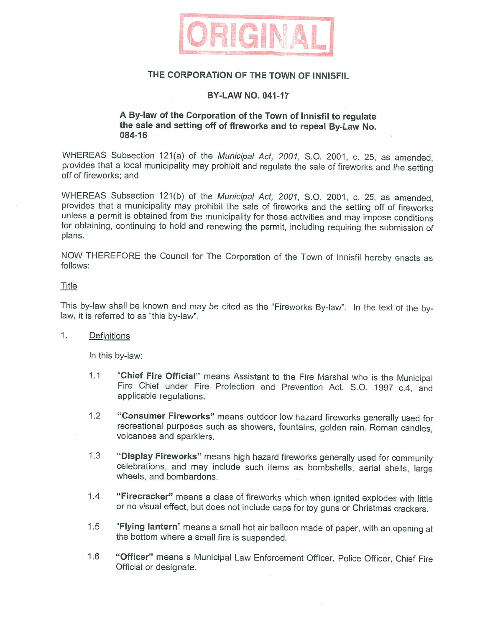

## **THE CORPORATION OF THE TOWN OF INNISFIL**

## **BY-LAW NO. 041-17**

## **A By-law of the Corporation of the Town of lnnisfil to regulate the sale and setting off of fireworks and to repeal By-Law No. 084-16**

WHEREAS Subsection 121(a) of the Municipal Act, 2001, S.O. 2001, c. 25, as amended, provides that a local municipality may prohibit and regulate the sale of fireworks and the setting off of fireworks; and

WHEREAS Subsection 121(b) of the Municipal Act, 2001, S.O. 2001, c. 25, as amended, provides that a municipality may prohibit the sale of fireworks and the setting off of fireworks unless a permit is obtained from the municipality for those activities and may impose conditions for obtaining, continuing to hold and renewing the permit, including requiring the submission of plans.

NOW THEREFORE the Council for The Corporation of the Town of lnnisfil hereby enacts as follows:

### Title

This by-law shall be known and may be cited as the "Fireworks By-law". In the text of the bylaw, it is referred to as "this by-law".

### 1. Definitions

In this by-law:

- 1.1 **"Chief Fire Official"** means Assistant to the Fire Marshal who is the Municipal Fire Chief under Fire Protection and Prevention Act, S.O. 1997 c.4, and applicable regulations.
- 1.2 **"Consumer Fireworks"** means outdoor low hazard fireworks generally used for recreational purposes such as showers, fountains, golden rain, Roman candles, volcanoes and sparklers.
- 1.3 **"Display Fireworks"** means high hazard fireworks generally used for community celebrations, and may include such items as bombshells, aerial shells, large wheels, and bombardons.
- 1.4 **"Firecracker"** means a class of fireworks which when ignited explodes with little or no visual effect, but does not include caps for toy guns or Christmas crackers.
- 1.5 **"Flying lantern"** means a small hot air balloon made of paper, with an opening at the bottom where a small fire is suspended.
- 1.6 **"Officer"** means a Municipal Law Enforcement Officer, Police Officer, Chief Fire Official or designate.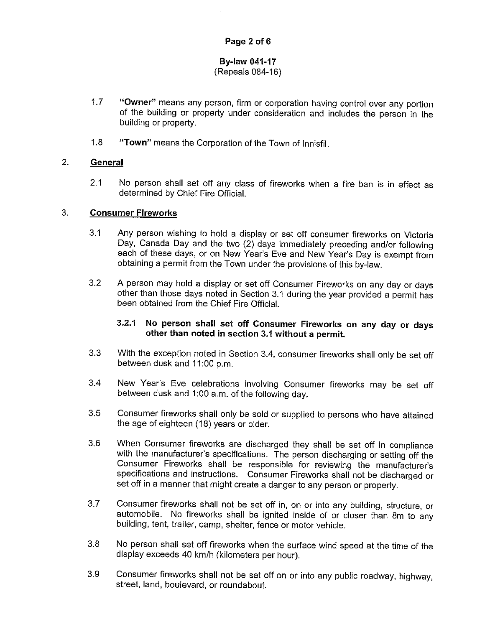## **By-law 041-17**  (Repeals 084-16)

- 1.7 **"Owner"** means any person, firm or corporation having control over any portion of the building or property under consideration and includes the person in the building or property.
- 1.8 **"Town"** means the Corporation of the Town of lnnisfil.

## 2. **General**

2.1 No person shall set off any class of fireworks when a fire ban is in effect as determined by Chief Fire Official.

## 3. **Consumer Fireworks**

- 3.1 Any person wishing to hold a display or set off consumer fireworks on Victoria Day, Canada Day and the two (2) days immediately preceding and/or following each of these days, or on New Year's Eve and New Year's Day is exempt from obtaining a permit from the Town under the provisions of this by-law.
- 3.2 A person may hold a display or set off Consumer Fireworks on any day or days other than those days noted in Section 3.1 during the year provided a permit has been obtained from the Chief Fire Official.

## **3.2.1 No person shall set off Consumer Fireworks on any day or days other than noted in section 3.1 without a permit.**

- 3.3 With the exception noted in Section 3.4, consumer fireworks shall only be set off between dusk and 11:00 p.m.
- 3.4 New Year's Eve celebrations involving Consumer fireworks may be set off between dusk and 1:00 a.m. of the following day.
- 3.5 Consumer fireworks shall only be sold or supplied to persons who have attained the age of eighteen (18) years or older.
- 3.6 When Consumer fireworks are discharged they shall be set off in compliance with the manufacturer's specifications. The person discharging or setting off the Consumer Fireworks shall be responsible for reviewing the manufacturer's specifications and instructions. Consumer Fireworks shall not be discharged or set off in a manner that might create a danger to any person or property.
- 3.7 Consumer fireworks shall not be set off in, on or into any building, structure, or automobile. No fireworks shall be ignited inside of or closer than Sm to any building, tent, trailer, camp, shelter, fence or motor vehicle.
- 3.8 No person shall set off fireworks when the surface wind speed at the time of the display exceeds 40 km/h (kilometers per hour).
- 3.9 Consumer fireworks shall not be set off on or into any public roadway, highway, street, land, boulevard, or roundabout.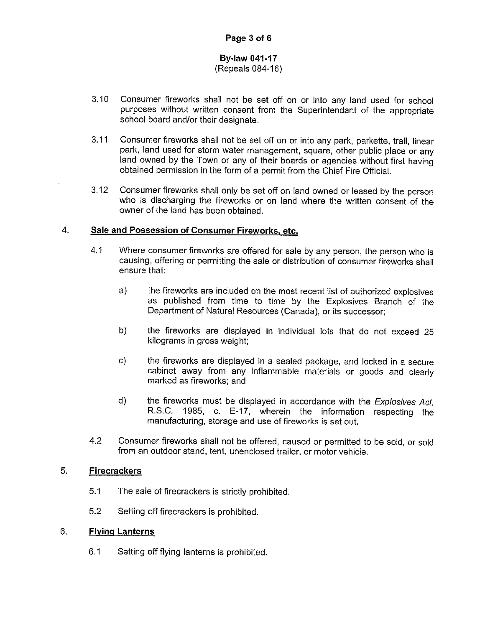# **By-law 041-17**

## (Repeals 084-16)

- 3.10 Consumer fireworks shall not be set off on or into any land used for school purposes without written consent from the Superintendant of the appropriate school board and/or their designate.
- 3.11 Consumer fireworks shall not be set off on or into any park, parkette, trail, linear park, land used for storm water management, square, other public place or any land owned by the Town or any of their boards or agencies without first having obtained permission in the form of a permit from the Chief Fire Official.
- 3.12 Consumer fireworks shall only be set off on land owned or leased by the person who is discharging the fireworks or on land where the written consent of the owner of the land has been obtained.

## 4. **Sale and Possession of Consumer Fireworks, etc.**

- 4.1 Where consumer fireworks are offered for sale by any person, the person who is causing, offering or permitting the sale or distribution of consumer fireworks shall ensure that:
	- a) the fireworks are included on the most recent list of authorized explosives as published from time to time by the Explosives Branch of the Department of Natural Resources (Canada), or its successor;
	- b) the fireworks are displayed in individual lots that do not exceed 25 kilograms in gross weight;
	- c) the fireworks are displayed in a sealed package, and locked in a secure cabinet away from any inflammable materials or goods and clearly marked as fireworks; and
	- d) the fireworks must be displayed in accordance with the *Explosives Act,*  R.S.C. 1985, c. E-17, wherein the information respecting the manufacturing, storage and use of fireworks is set out.
- 4.2 Consumer fireworks shall not be offered, caused or permitted to be sold, or sold from an outdoor stand, tent, unenclosed trailer, or motor vehicle.

## 5. **Firecrackers**

- 5.1 The sale of firecrackers is strictly prohibited.
- 5.2 Setting off firecrackers is prohibited.

## 6. **Flying Lanterns**

6.1 Setting off flying lanterns is prohibited.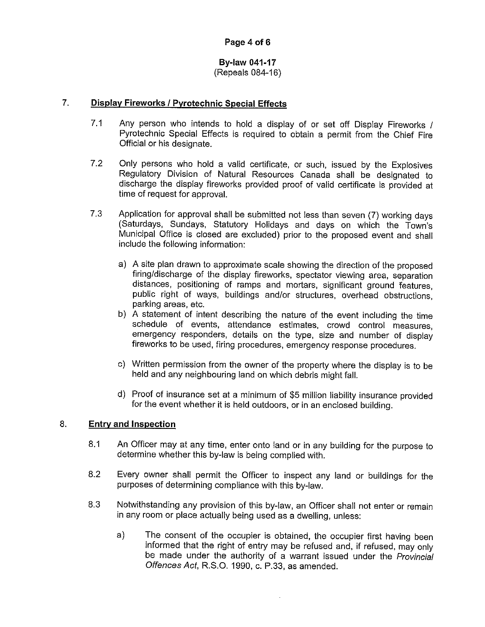# **By-law 041-17**

(Repeals 084-16)

### 7. **Display Fireworks / Pyrotechnic Special Effects**

- 7.1 Any person who intends to hold a display of or set off Display Fireworks / Pyrotechnic Special Effects is required to obtain a permit from the Chief Fire Official or his designate.
- 7.2 Only persons who hold a valid certificate, or such, issued by the Explosives Regulatory Division of Natural Resources Canada shall be designated to discharge the display fireworks provided proof of valid certificate is provided at time of request for approval.
- 7.3 Application for approval shall be submitted not less than seven (7) working days (Saturdays, Sundays, Statutory Holidays and days on which the Town's Municipal Office is closed are excluded) prior to the proposed event and shall include the following information:
	- a) A site plan drawn to approximate scale showing the direction of the proposed firing/discharge of the display fireworks, spectator viewing area, separation distances, positioning of ramps and mortars, significant ground features, public right of ways, buildings and/or structures, overhead obstructions, parking areas, etc.
	- b) A statement of intent describing the nature of the event including the time schedule of events, attendance estimates, crowd control measures, emergency responders, details on the type, size and number of display fireworks to be used, firing procedures, emergency response procedures.
	- c) Written permission from the owner of the property where the display is to be held and any neighbouring land on which debris might fall.
	- d) Proof of insurance set at a minimum of \$5 million liability insurance provided for the event whether it is held outdoors, or in an enclosed building.

#### 8. **Entry and Inspection**

- 8.1 An Officer may at any time, enter onto land or in any building for the purpose to determine whether this by-law is being complied with.
- 8.2 Every owner shall permit the Officer to inspect any land or buildings for the purposes of determining compliance with this by-law.
- 8.3 Notwithstanding any provision of this by-law, an Officer shall not enter or remain in any room or place actually being used as a dwelling, unless:
	- a) The consent of the occupier is obtained, the occupier first having been informed that the right of entry may be refused and, if refused, may only be made under the authority of a warrant issued under the Provincial Offences Act, R.S.O. 1990, c. P.33, as amended.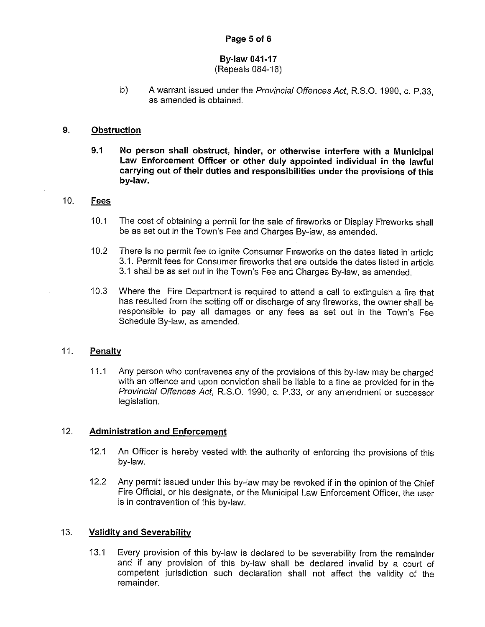## **Page 5 of 6**

# **By-law 041-17**

## (Repeals 084-16)

b) A warrant issued under the Provincial Offences Act, R.S.O. 1990, c. P.33, as amended is obtained.

#### **9. Obstruction**

**9.1 No person shall obstruct, hinder, or otherwise interfere with a Municipal Law Enforcement Officer or other duly appointed individual in the lawful carrying out of their duties and responsibilities under the provisions of this by-law.** 

## 10. **Fees**

- 10.1 The cost of obtaining a permit for the sale of fireworks or Display Fireworks shall be as set out in the Town's Fee and Charges By-law, as amended.
- 10.2 There is no permit fee to ignite Consumer Fireworks on the dates listed in article 3.1. Permit fees for Consumer fireworks that are outside the dates listed in article 3.1 shall be as set out in the Town's Fee and Charges By-law, as amended.
- 10.3 Where the Fire Department is required to attend a call to extinguish a fire that has resulted from the setting off or discharge of any fireworks, the owner shall be responsible to pay all damages or any fees as set out in the Town's Fee Schedule By-law, as amended.

#### 11. **Penalty**

11.1 Any person who contravenes any of the provisions of this by-law may be charged with an offence and upon conviction shall be liable to a fine as provided for in the Provincial Offences Act, R.S.O. 1990, c. P.33, or any amendment or successor legislation.

## 12. **Administration and Enforcement**

- 12.1 An Officer is hereby vested with the authority of enforcing the provisions of this by-law.
- 12.2 Any permit issued under this by-law may be revoked if in the opinion of the Chief Fire Official, or his designate, or the Municipal Law Enforcement Officer, the user is in contravention of this by-law.

#### 13. **Validity and Severability**

13.1 Every provision of this by-law is declared to be severability from the remainder and if any provision of this by-law shall be declared invalid by a court of competent jurisdiction such declaration shall not affect the validity of the remainder.